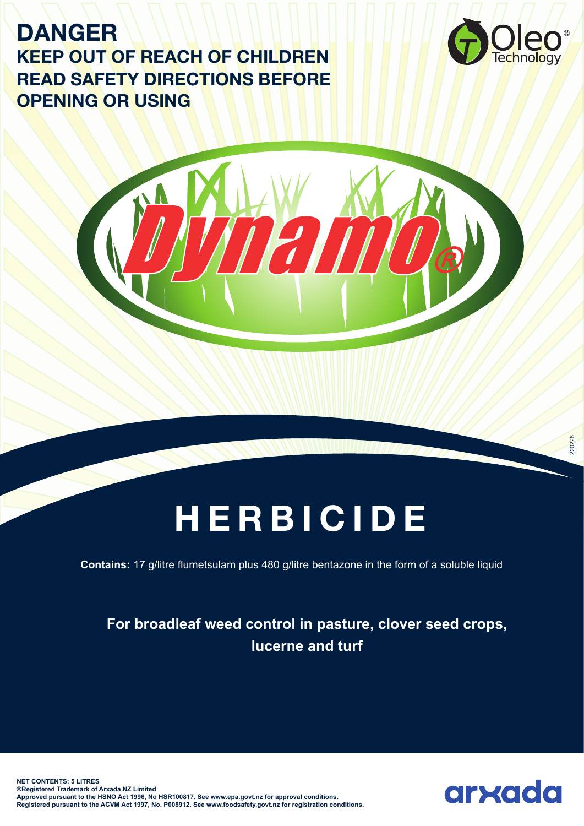# **DANGER KEEP OUT OF REACH OF CHILDREN READ SAFETY DIRECTIONS BEFORE OPENING OR USING**



# **HERBICIDE**

Dynamo®

**Contains:** 17 g/litre flumetsulam plus 480 g/litre bentazone in the form of a soluble liquid

# **For broadleaf weed control in pasture, clover seed crops, lucerne and turf**